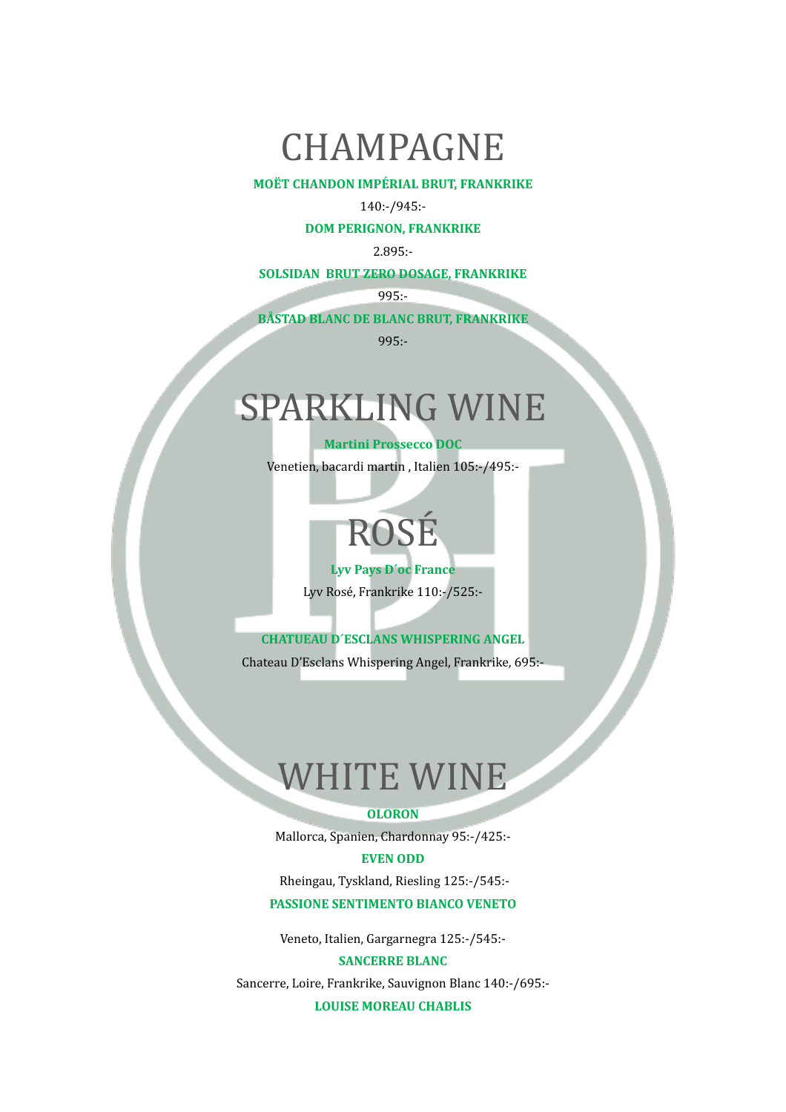### CHAMPAGNE

#### **MOËT CHANDON IMPÉRIAL BRUT, FRANKRIKE**

#### 140:-/945:-

**DOM PERIGNON, FRANKRIKE** 

2.895:-

#### **SOLSIDAN BRUT ZERO DOSAGE, FRANKRIKE**

995:-

**BÅSTAD BLANC DE BLANC BRUT, FRANKRIKE** 

995:-

## SPARKLING WINE

**Martini Prossecco DOC** 

Venetien, bacardi martin, Italien 105:-/495:-

# ROSÉ

#### Lyv Pays D'oc France

Lyv Rosé, Frankrike 110:-/525:-

**CHATUEAU D'ESCLANS WHISPERING ANGEL** 

Chateau D'Esclans Whispering Angel, Frankrike, 695:-

### **WHITE WINE**

#### **OLORON**

Mallorca, Spanien, Chardonnay 95:-/425:-

#### **EVEN ODD**

Rheingau, Tyskland, Riesling 125:-/545:-**PASSIONE SENTIMENTO BIANCO VENETO** 

Veneto, Italien, Gargarnegra 125:-/545:-

**SANCERRE BLANC** 

Sancerre, Loire, Frankrike, Sauvignon Blanc 140:-/695:-

**LOUISE MOREAU CHABLIS**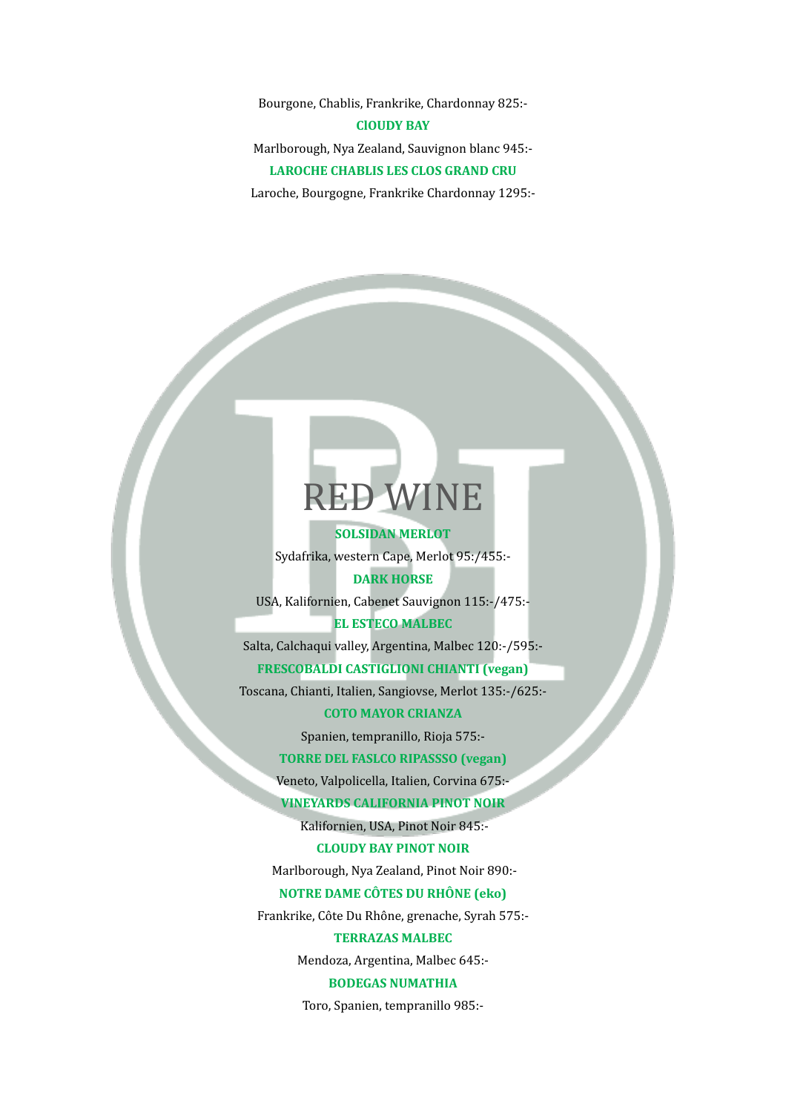Bourgone, Chablis, Frankrike, Chardonnay 825:-**ClOUDY BAY** Marlborough, Nya Zealand, Sauvignon blanc 945:-**LAROCHE CHABLIS LES CLOS GRAND CRU** Laroche, Bourgogne, Frankrike Chardonnay 1295:-

### **RED WINE**

**SOLSIDAN MERLOT** Sydafrika, western Cape, Merlot 95:/455:-**DARK HORSE** 

USA, Kalifornien, Cabenet Sauvignon 115:-/475:-

#### **EL ESTECO MALBEC**

Salta, Calchaqui valley, Argentina, Malbec 120:-/595:-

#### **FRESCOBALDI CASTIGLIONI CHIANTI (vegan)**

Toscana, Chianti, Italien, Sangiovse, Merlot 135:-/625:-

#### **COTO MAYOR CRIANZA**

Spanien, tempranillo, Rioja 575:-

#### **TORRE DEL FASLCO RIPASSSO (vegan)**

Veneto, Valpolicella, Italien, Corvina 675:-

**VINEYARDS CALIFORNIA PINOT NOIR** 

Kalifornien, USA, Pinot Noir 845:-

#### **CLOUDY BAY PINOT NOIR**

Marlborough, Nya Zealand, Pinot Noir 890:-

#### **NOTRE DAME CÔTES DU RHÔNE (eko)**

Frankrike, Côte Du Rhône, grenache, Syrah 575:-

#### **TERRAZAS MALBEC**

Mendoza, Argentina, Malbec 645:-

#### **BODEGAS NUMATHIA**

Toro, Spanien, tempranillo 985:-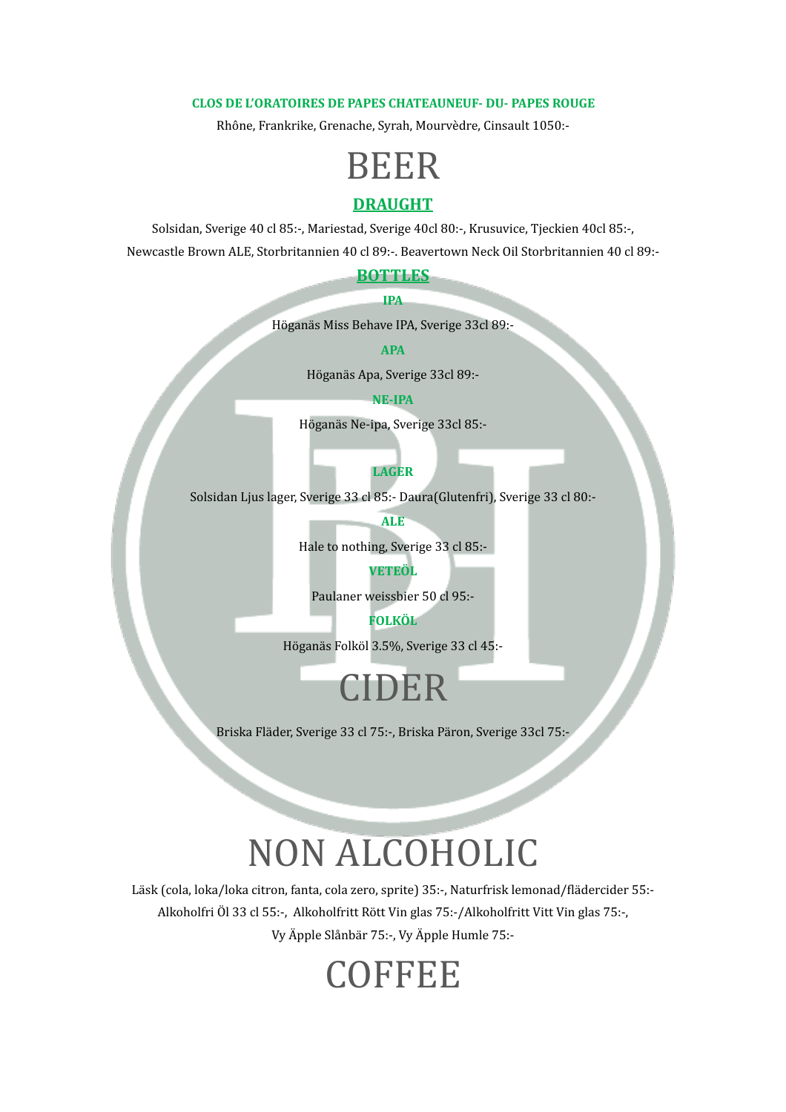#### **CLOS DE L'ORATOIRES DE PAPES CHATEAUNEUF- DU- PAPES ROUGE**

Rhône, Frankrike, Grenache, Syrah, Mourvèdre, Cinsault 1050:-

### BEER

#### **DRAUGHT**

Solsidan, Sverige 40 cl 85:-, Mariestad, Sverige 40cl 80:-, Krusuvice, Tjeckien 40cl 85:-, Newcastle Brown ALE, Storbritannien 40 cl 89:-. Beavertown Neck Oil Storbritannien 40 cl 89:-

#### **BOTTLES**

#### **IPA**

Höganäs Miss Behave IPA, Sverige 33cl 89:-

**APA** 

Höganäs Apa, Sverige 33cl 89:-

#### **NE-IPA**

Höganäs Ne-ipa, Sverige 33cl 85:- 

**LAGER**

Solsidan Ljus lager, Sverige 33 cl 85:- Daura(Glutenfri), Sverige 33 cl 80:-

**ALE**

Hale to nothing, Sverige 33 cl 85:-

#### **VETEÖL**

Paulaner weissbier 50 cl 95:-

#### **FOLKÖL**

Höganäs Folköl 3.5%, Sverige 33 cl 45:-

### CIDER

Briska Fläder, Sverige 33 cl 75:-, Briska Päron, Sverige 33cl 75:-

### NON ALCOHOLIC

Läsk (cola, loka/loka citron, fanta, cola zero, sprite) 35:-, Naturfrisk lemonad/flädercider 55:-Alkoholfri Öl 33 cl 55:-, Alkoholfritt Rött Vin glas 75:-/Alkoholfritt Vitt Vin glas 75:-, Vy Äpple Slånbär 75:-, Vy Äpple Humle 75:-

### **COFFEE**